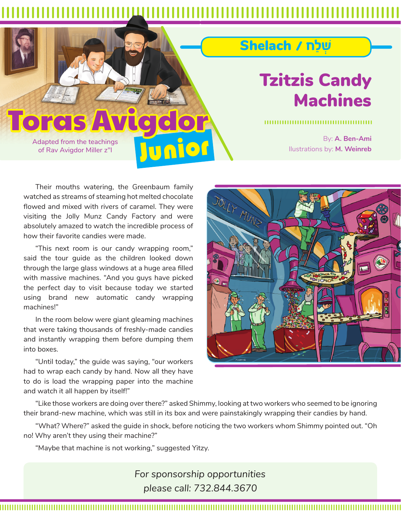## Junior **Toras**

Adapted from the teachings of Rav Avigdor Miller z"l

## Tzitzis Candy Machines

ֿשׁלַח / Shelach

By: **A. Ben-Ami** llustrations by: **M. Weinreb**

Their mouths watering, the Greenbaum family watched as streams of steaming hot melted chocolate flowed and mixed with rivers of caramel. They were visiting the Jolly Munz Candy Factory and were absolutely amazed to watch the incredible process of how their favorite candies were made.

"This next room is our candy wrapping room," said the tour guide as the children looked down through the large glass windows at a huge area filled with massive machines. "And you guys have picked the perfect day to visit because today we started using brand new automatic candy wrapping machines!"

In the room below were giant gleaming machines that were taking thousands of freshly-made candies and instantly wrapping them before dumping them into boxes.

"Until today," the guide was saying, "our workers had to wrap each candy by hand. Now all they have to do is load the wrapping paper into the machine and watch it all happen by itself!"



"Like those workers are doing over there?" asked Shimmy, looking at two workers who seemed to be ignoring their brand-new machine, which was still in its box and were painstakingly wrapping their candies by hand.

"What? Where?" asked the guide in shock, before noticing the two workers whom Shimmy pointed out. "Oh no! Why aren't they using their machine?"

"Maybe that machine is not working," suggested Yitzy.

*For sponsorship opportunities please call: 732.844.3670*